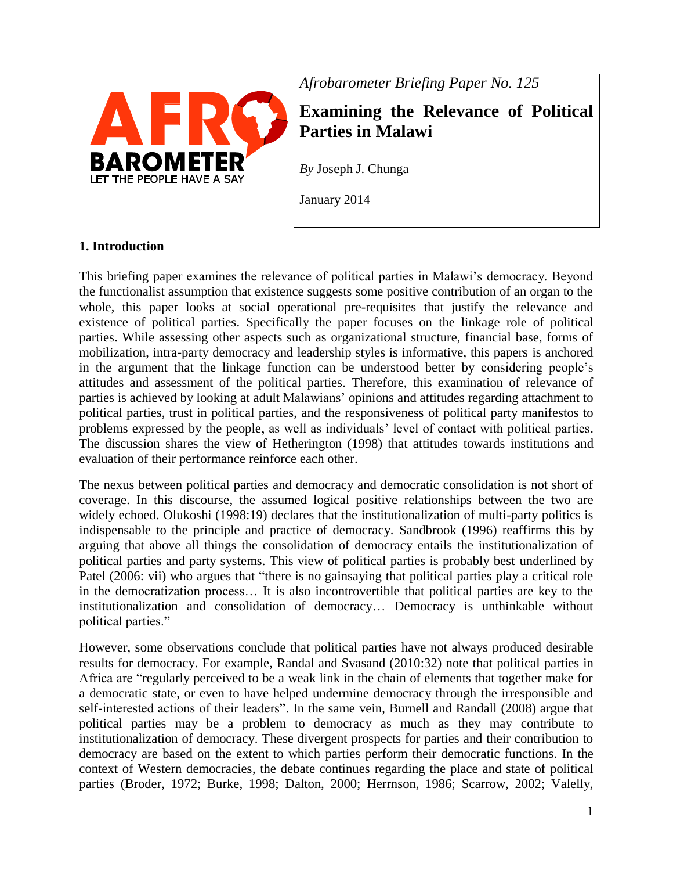

*Afrobarometer Briefing Paper No. 125*

# **Examining the Relevance of Political Parties in Malawi**

*By* Joseph J. Chunga

January 2014

## **1. Introduction**

This briefing paper examines the relevance of political parties in Malawi's democracy. Beyond the functionalist assumption that existence suggests some positive contribution of an organ to the whole, this paper looks at social operational pre-requisites that justify the relevance and existence of political parties. Specifically the paper focuses on the linkage role of political parties. While assessing other aspects such as organizational structure, financial base, forms of mobilization, intra-party democracy and leadership styles is informative, this papers is anchored in the argument that the linkage function can be understood better by considering people's attitudes and assessment of the political parties. Therefore, this examination of relevance of parties is achieved by looking at adult Malawians' opinions and attitudes regarding attachment to political parties, trust in political parties, and the responsiveness of political party manifestos to problems expressed by the people, as well as individuals' level of contact with political parties. The discussion shares the view of Hetherington (1998) that attitudes towards institutions and evaluation of their performance reinforce each other.

The nexus between political parties and democracy and democratic consolidation is not short of coverage. In this discourse, the assumed logical positive relationships between the two are widely echoed. Olukoshi (1998:19) declares that the institutionalization of multi-party politics is indispensable to the principle and practice of democracy. Sandbrook (1996) reaffirms this by arguing that above all things the consolidation of democracy entails the institutionalization of political parties and party systems. This view of political parties is probably best underlined by Patel (2006: vii) who argues that "there is no gainsaying that political parties play a critical role in the democratization process… It is also incontrovertible that political parties are key to the institutionalization and consolidation of democracy… Democracy is unthinkable without political parties."

However, some observations conclude that political parties have not always produced desirable results for democracy. For example, Randal and Svasand (2010:32) note that political parties in Africa are "regularly perceived to be a weak link in the chain of elements that together make for a democratic state, or even to have helped undermine democracy through the irresponsible and self-interested actions of their leaders". In the same vein, Burnell and Randall (2008) argue that political parties may be a problem to democracy as much as they may contribute to institutionalization of democracy. These divergent prospects for parties and their contribution to democracy are based on the extent to which parties perform their democratic functions. In the context of Western democracies, the debate continues regarding the place and state of political parties (Broder, 1972; Burke, 1998; Dalton, 2000; Herrnson, 1986; Scarrow, 2002; Valelly,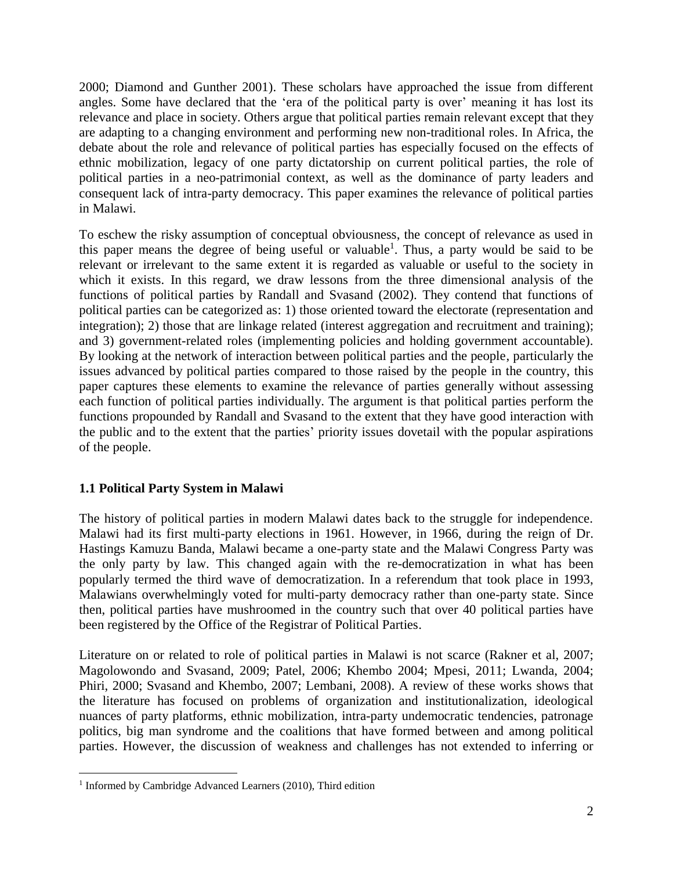2000; Diamond and Gunther 2001). These scholars have approached the issue from different angles. Some have declared that the 'era of the political party is over' meaning it has lost its relevance and place in society. Others argue that political parties remain relevant except that they are adapting to a changing environment and performing new non-traditional roles. In Africa, the debate about the role and relevance of political parties has especially focused on the effects of ethnic mobilization, legacy of one party dictatorship on current political parties, the role of political parties in a neo-patrimonial context, as well as the dominance of party leaders and consequent lack of intra-party democracy. This paper examines the relevance of political parties in Malawi.

To eschew the risky assumption of conceptual obviousness, the concept of relevance as used in this paper means the degree of being useful or valuable<sup>1</sup>. Thus, a party would be said to be relevant or irrelevant to the same extent it is regarded as valuable or useful to the society in which it exists. In this regard, we draw lessons from the three dimensional analysis of the functions of political parties by Randall and Svasand (2002). They contend that functions of political parties can be categorized as: 1) those oriented toward the electorate (representation and integration); 2) those that are linkage related (interest aggregation and recruitment and training); and 3) government-related roles (implementing policies and holding government accountable). By looking at the network of interaction between political parties and the people, particularly the issues advanced by political parties compared to those raised by the people in the country, this paper captures these elements to examine the relevance of parties generally without assessing each function of political parties individually. The argument is that political parties perform the functions propounded by Randall and Svasand to the extent that they have good interaction with the public and to the extent that the parties' priority issues dovetail with the popular aspirations of the people.

### **1.1 Political Party System in Malawi**

The history of political parties in modern Malawi dates back to the struggle for independence. Malawi had its first multi-party elections in 1961. However, in 1966, during the reign of Dr. Hastings Kamuzu Banda, Malawi became a one-party state and the Malawi Congress Party was the only party by law. This changed again with the re-democratization in what has been popularly termed the third wave of democratization. In a referendum that took place in 1993, Malawians overwhelmingly voted for multi-party democracy rather than one-party state. Since then, political parties have mushroomed in the country such that over 40 political parties have been registered by the Office of the Registrar of Political Parties.

Literature on or related to role of political parties in Malawi is not scarce (Rakner et al, 2007; Magolowondo and Svasand, 2009; Patel, 2006; Khembo 2004; Mpesi, 2011; Lwanda, 2004; Phiri, 2000; Svasand and Khembo, 2007; Lembani, 2008). A review of these works shows that the literature has focused on problems of organization and institutionalization, ideological nuances of party platforms, ethnic mobilization, intra-party undemocratic tendencies, patronage politics, big man syndrome and the coalitions that have formed between and among political parties. However, the discussion of weakness and challenges has not extended to inferring or

 $\overline{a}$ 

<sup>&</sup>lt;sup>1</sup> Informed by Cambridge Advanced Learners (2010), Third edition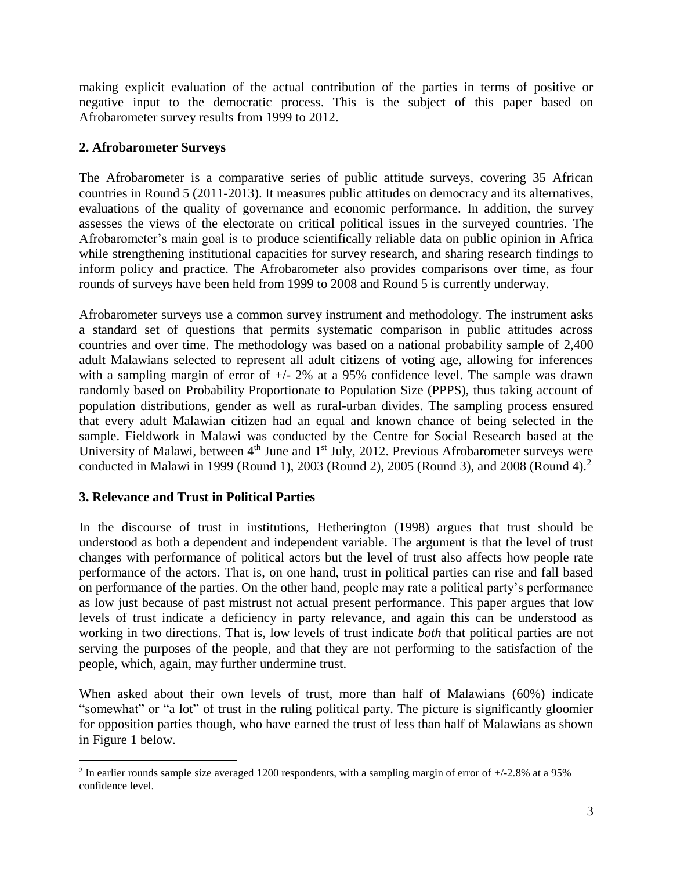making explicit evaluation of the actual contribution of the parties in terms of positive or negative input to the democratic process. This is the subject of this paper based on Afrobarometer survey results from 1999 to 2012.

#### **2. Afrobarometer Surveys**

The Afrobarometer is a comparative series of public attitude surveys, covering 35 African countries in Round 5 (2011-2013). It measures public attitudes on democracy and its alternatives, evaluations of the quality of governance and economic performance. In addition, the survey assesses the views of the electorate on critical political issues in the surveyed countries. The Afrobarometer's main goal is to produce scientifically reliable data on public opinion in Africa while strengthening institutional capacities for survey research, and sharing research findings to inform policy and practice. The Afrobarometer also provides comparisons over time, as four rounds of surveys have been held from 1999 to 2008 and Round 5 is currently underway.

Afrobarometer surveys use a common survey instrument and methodology. The instrument asks a standard set of questions that permits systematic comparison in public attitudes across countries and over time. The methodology was based on a national probability sample of 2,400 adult Malawians selected to represent all adult citizens of voting age, allowing for inferences with a sampling margin of error of  $+/- 2\%$  at a 95% confidence level. The sample was drawn randomly based on Probability Proportionate to Population Size (PPPS), thus taking account of population distributions, gender as well as rural-urban divides. The sampling process ensured that every adult Malawian citizen had an equal and known chance of being selected in the sample. Fieldwork in Malawi was conducted by the Centre for Social Research based at the University of Malawi, between 4<sup>th</sup> June and 1<sup>st</sup> July, 2012. Previous Afrobarometer surveys were conducted in Malawi in 1999 (Round 1), 2003 (Round 2), 2005 (Round 3), and 2008 (Round 4).<sup>2</sup>

### **3. Relevance and Trust in Political Parties**

 $\overline{a}$ 

In the discourse of trust in institutions, Hetherington (1998) argues that trust should be understood as both a dependent and independent variable. The argument is that the level of trust changes with performance of political actors but the level of trust also affects how people rate performance of the actors. That is, on one hand, trust in political parties can rise and fall based on performance of the parties. On the other hand, people may rate a political party's performance as low just because of past mistrust not actual present performance. This paper argues that low levels of trust indicate a deficiency in party relevance, and again this can be understood as working in two directions. That is, low levels of trust indicate *both* that political parties are not serving the purposes of the people, and that they are not performing to the satisfaction of the people, which, again, may further undermine trust.

When asked about their own levels of trust, more than half of Malawians (60%) indicate "somewhat" or "a lot" of trust in the ruling political party. The picture is significantly gloomier for opposition parties though, who have earned the trust of less than half of Malawians as shown in Figure 1 below.

<sup>&</sup>lt;sup>2</sup> In earlier rounds sample size averaged 1200 respondents, with a sampling margin of error of  $+/2.8\%$  at a 95% confidence level.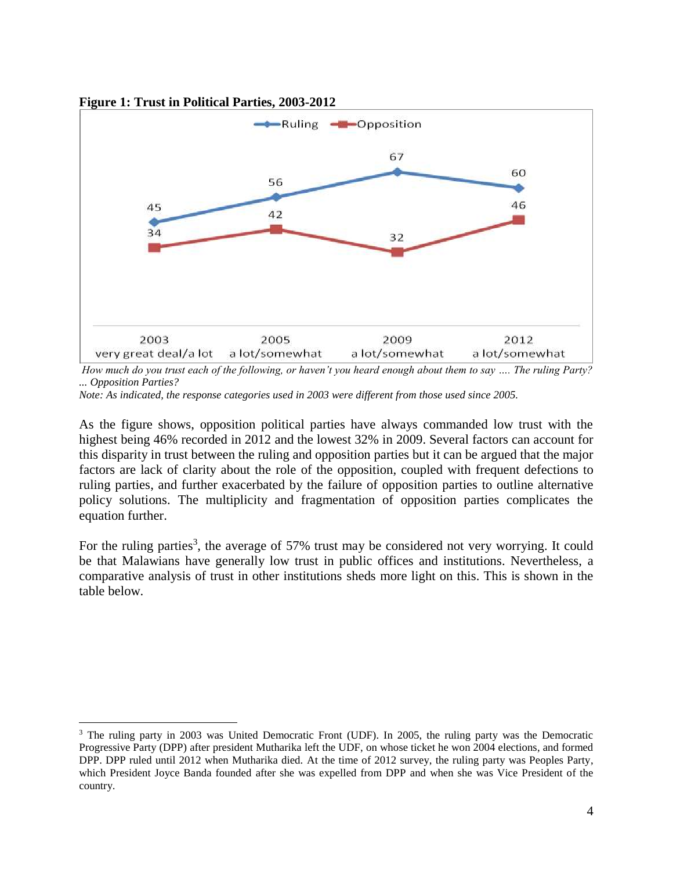

**Figure 1: Trust in Political Parties, 2003-2012**

*How much do you trust each of the following, or haven't you heard enough about them to say …. The ruling Party? ... Opposition Parties?*

*Note: As indicated, the response categories used in 2003 were different from those used since 2005.*

As the figure shows, opposition political parties have always commanded low trust with the highest being 46% recorded in 2012 and the lowest 32% in 2009. Several factors can account for this disparity in trust between the ruling and opposition parties but it can be argued that the major factors are lack of clarity about the role of the opposition, coupled with frequent defections to ruling parties, and further exacerbated by the failure of opposition parties to outline alternative policy solutions. The multiplicity and fragmentation of opposition parties complicates the equation further.

For the ruling parties<sup>3</sup>, the average of 57% trust may be considered not very worrying. It could be that Malawians have generally low trust in public offices and institutions. Nevertheless, a comparative analysis of trust in other institutions sheds more light on this. This is shown in the table below.

 $\overline{a}$ <sup>3</sup> The ruling party in 2003 was United Democratic Front (UDF). In 2005, the ruling party was the Democratic Progressive Party (DPP) after president Mutharika left the UDF, on whose ticket he won 2004 elections, and formed DPP. DPP ruled until 2012 when Mutharika died. At the time of 2012 survey, the ruling party was Peoples Party, which President Joyce Banda founded after she was expelled from DPP and when she was Vice President of the country.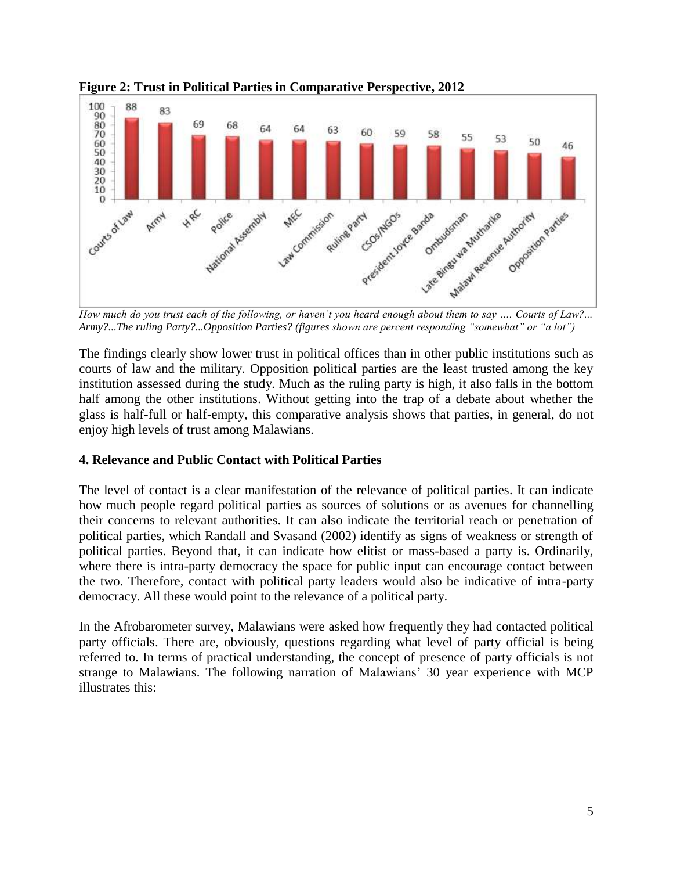

**Figure 2: Trust in Political Parties in Comparative Perspective, 2012**

*Army?...The ruling Party?...Opposition Parties? (figures shown are percent responding "somewhat" or "a lot")*

The findings clearly show lower trust in political offices than in other public institutions such as courts of law and the military. Opposition political parties are the least trusted among the key institution assessed during the study. Much as the ruling party is high, it also falls in the bottom half among the other institutions. Without getting into the trap of a debate about whether the glass is half-full or half-empty, this comparative analysis shows that parties, in general, do not enjoy high levels of trust among Malawians.

### **4. Relevance and Public Contact with Political Parties**

The level of contact is a clear manifestation of the relevance of political parties. It can indicate how much people regard political parties as sources of solutions or as avenues for channelling their concerns to relevant authorities. It can also indicate the territorial reach or penetration of political parties, which Randall and Svasand (2002) identify as signs of weakness or strength of political parties. Beyond that, it can indicate how elitist or mass-based a party is. Ordinarily, where there is intra-party democracy the space for public input can encourage contact between the two. Therefore, contact with political party leaders would also be indicative of intra-party democracy. All these would point to the relevance of a political party.

In the Afrobarometer survey, Malawians were asked how frequently they had contacted political party officials. There are, obviously, questions regarding what level of party official is being referred to. In terms of practical understanding, the concept of presence of party officials is not strange to Malawians. The following narration of Malawians' 30 year experience with MCP illustrates this: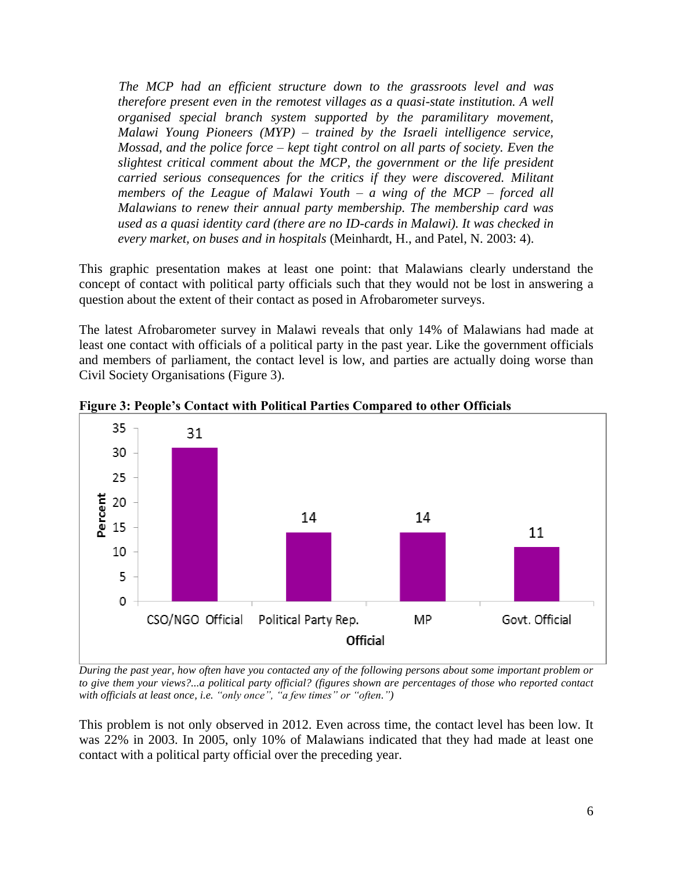*The MCP had an efficient structure down to the grassroots level and was therefore present even in the remotest villages as a quasi-state institution. A well organised special branch system supported by the paramilitary movement, Malawi Young Pioneers (MYP) – trained by the Israeli intelligence service, Mossad, and the police force – kept tight control on all parts of society. Even the slightest critical comment about the MCP, the government or the life president carried serious consequences for the critics if they were discovered. Militant members of the League of Malawi Youth – a wing of the MCP – forced all Malawians to renew their annual party membership. The membership card was used as a quasi identity card (there are no ID-cards in Malawi). It was checked in every market, on buses and in hospitals* (Meinhardt, H., and Patel, N. 2003: 4).

This graphic presentation makes at least one point: that Malawians clearly understand the concept of contact with political party officials such that they would not be lost in answering a question about the extent of their contact as posed in Afrobarometer surveys.

The latest Afrobarometer survey in Malawi reveals that only 14% of Malawians had made at least one contact with officials of a political party in the past year. Like the government officials and members of parliament, the contact level is low, and parties are actually doing worse than Civil Society Organisations (Figure 3).



**Figure 3: People's Contact with Political Parties Compared to other Officials**

*During the past year, how often have you contacted any of the following persons about some important problem or to give them your views?...a political party official? (figures shown are percentages of those who reported contact with officials at least once, i.e. "only once", "a few times" or "often.")*

This problem is not only observed in 2012. Even across time, the contact level has been low. It was 22% in 2003. In 2005, only 10% of Malawians indicated that they had made at least one contact with a political party official over the preceding year.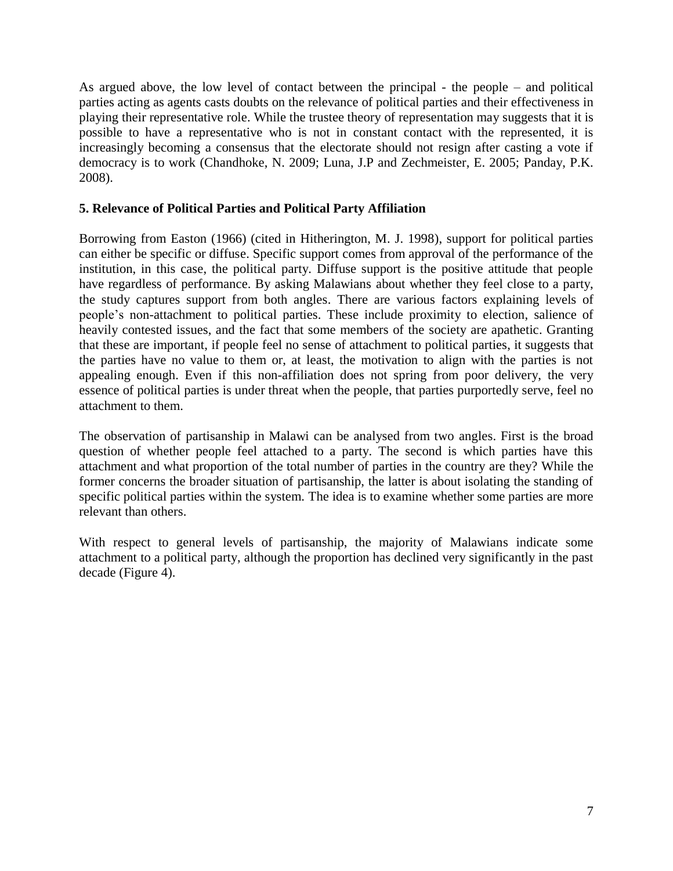As argued above, the low level of contact between the principal - the people – and political parties acting as agents casts doubts on the relevance of political parties and their effectiveness in playing their representative role. While the trustee theory of representation may suggests that it is possible to have a representative who is not in constant contact with the represented, it is increasingly becoming a consensus that the electorate should not resign after casting a vote if democracy is to work (Chandhoke, N. 2009; Luna, J.P and Zechmeister, E. 2005; Panday, P.K. 2008).

### **5. Relevance of Political Parties and Political Party Affiliation**

Borrowing from Easton (1966) (cited in Hitherington, M. J. 1998), support for political parties can either be specific or diffuse. Specific support comes from approval of the performance of the institution, in this case, the political party. Diffuse support is the positive attitude that people have regardless of performance. By asking Malawians about whether they feel close to a party, the study captures support from both angles. There are various factors explaining levels of people's non-attachment to political parties. These include proximity to election, salience of heavily contested issues, and the fact that some members of the society are apathetic. Granting that these are important, if people feel no sense of attachment to political parties, it suggests that the parties have no value to them or, at least, the motivation to align with the parties is not appealing enough. Even if this non-affiliation does not spring from poor delivery, the very essence of political parties is under threat when the people, that parties purportedly serve, feel no attachment to them.

The observation of partisanship in Malawi can be analysed from two angles. First is the broad question of whether people feel attached to a party. The second is which parties have this attachment and what proportion of the total number of parties in the country are they? While the former concerns the broader situation of partisanship, the latter is about isolating the standing of specific political parties within the system. The idea is to examine whether some parties are more relevant than others.

With respect to general levels of partisanship, the majority of Malawians indicate some attachment to a political party, although the proportion has declined very significantly in the past decade (Figure 4).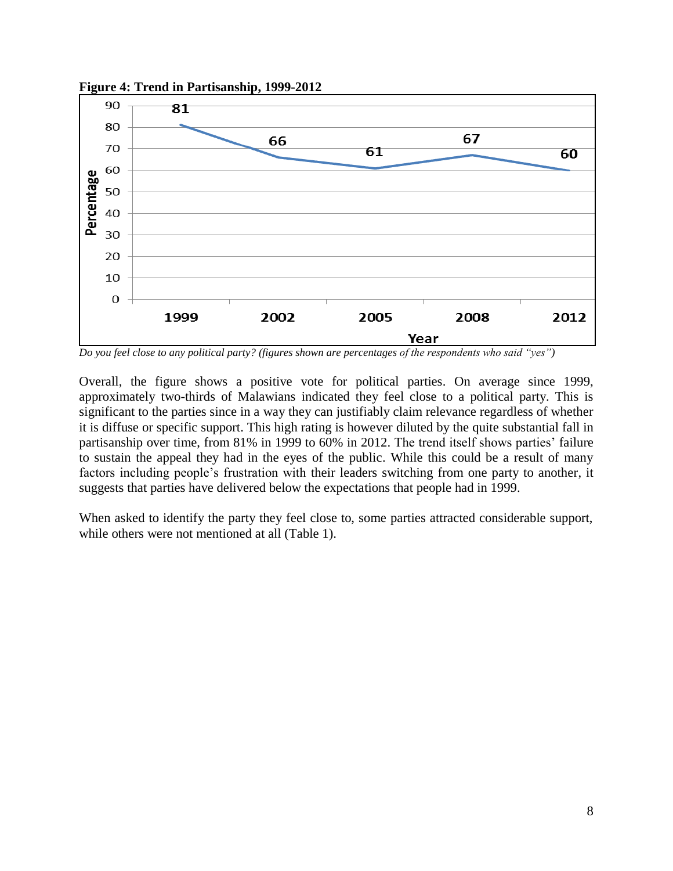

**Figure 4: Trend in Partisanship, 1999-2012**

*Do you feel close to any political party? (figures shown are percentages of the respondents who said "yes")*

Overall, the figure shows a positive vote for political parties. On average since 1999, approximately two-thirds of Malawians indicated they feel close to a political party. This is significant to the parties since in a way they can justifiably claim relevance regardless of whether it is diffuse or specific support. This high rating is however diluted by the quite substantial fall in partisanship over time, from 81% in 1999 to 60% in 2012. The trend itself shows parties' failure to sustain the appeal they had in the eyes of the public. While this could be a result of many factors including people's frustration with their leaders switching from one party to another, it suggests that parties have delivered below the expectations that people had in 1999.

When asked to identify the party they feel close to, some parties attracted considerable support, while others were not mentioned at all (Table 1).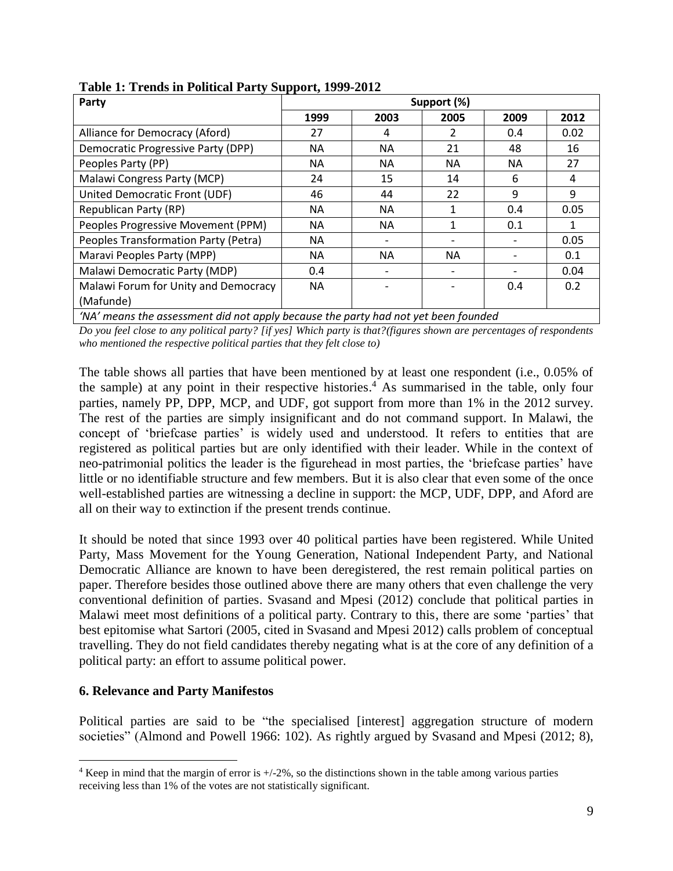| Party                                | Support (%) |                          |           |           |      |
|--------------------------------------|-------------|--------------------------|-----------|-----------|------|
|                                      | 1999        | 2003                     | 2005      | 2009      | 2012 |
| Alliance for Democracy (Aford)       | 27          | 4                        |           | 0.4       | 0.02 |
| Democratic Progressive Party (DPP)   | ΝA          | NА                       | 21        | 48        | 16   |
| Peoples Party (PP)                   | NА          | NА                       | <b>NA</b> | <b>NA</b> | 27   |
| Malawi Congress Party (MCP)          | 24          | 15                       | 14        | 6         | 4    |
| United Democratic Front (UDF)        | 46          | 44                       | 22        | 9         | 9    |
| <b>Republican Party (RP)</b>         | ΝA          | NА                       |           | 0.4       | 0.05 |
| Peoples Progressive Movement (PPM)   | ΝA          | NА                       |           | 0.1       |      |
| Peoples Transformation Party (Petra) | NА          |                          |           |           | 0.05 |
| Maravi Peoples Party (MPP)           | ΝA          | NА                       | <b>NA</b> |           | 0.1  |
| Malawi Democratic Party (MDP)        | 0.4         | $\overline{\phantom{a}}$ |           |           | 0.04 |
| Malawi Forum for Unity and Democracy | <b>NA</b>   |                          |           | 0.4       | 0.2  |
| (Mafunde)                            |             |                          |           |           |      |

**Table 1: Trends in Political Party Support, 1999-2012**

*'NA' means the assessment did not apply because the party had not yet been founded*

*Do you feel close to any political party? [if yes] Which party is that?(figures shown are percentages of respondents who mentioned the respective political parties that they felt close to)*

The table shows all parties that have been mentioned by at least one respondent (i.e., 0.05% of the sample) at any point in their respective histories. <sup>4</sup> As summarised in the table, only four parties, namely PP, DPP, MCP, and UDF, got support from more than 1% in the 2012 survey. The rest of the parties are simply insignificant and do not command support. In Malawi, the concept of 'briefcase parties' is widely used and understood. It refers to entities that are registered as political parties but are only identified with their leader. While in the context of neo-patrimonial politics the leader is the figurehead in most parties, the 'briefcase parties' have little or no identifiable structure and few members. But it is also clear that even some of the once well-established parties are witnessing a decline in support: the MCP, UDF, DPP, and Aford are all on their way to extinction if the present trends continue.

It should be noted that since 1993 over 40 political parties have been registered. While United Party, Mass Movement for the Young Generation, National Independent Party, and National Democratic Alliance are known to have been deregistered, the rest remain political parties on paper. Therefore besides those outlined above there are many others that even challenge the very conventional definition of parties. Svasand and Mpesi (2012) conclude that political parties in Malawi meet most definitions of a political party. Contrary to this, there are some 'parties' that best epitomise what Sartori (2005, cited in Svasand and Mpesi 2012) calls problem of conceptual travelling. They do not field candidates thereby negating what is at the core of any definition of a political party: an effort to assume political power.

#### **6. Relevance and Party Manifestos**

 $\overline{a}$ 

Political parties are said to be "the specialised [interest] aggregation structure of modern societies" (Almond and Powell 1966: 102). As rightly argued by Svasand and Mpesi (2012; 8),

<sup>&</sup>lt;sup>4</sup> Keep in mind that the margin of error is  $+/2\%$ , so the distinctions shown in the table among various parties receiving less than 1% of the votes are not statistically significant.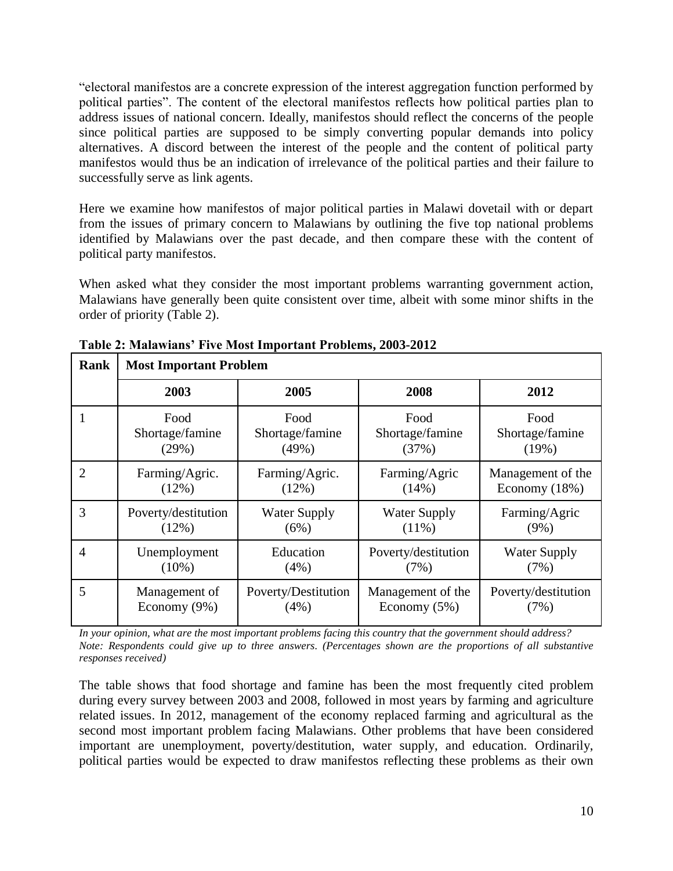"electoral manifestos are a concrete expression of the interest aggregation function performed by political parties". The content of the electoral manifestos reflects how political parties plan to address issues of national concern. Ideally, manifestos should reflect the concerns of the people since political parties are supposed to be simply converting popular demands into policy alternatives. A discord between the interest of the people and the content of political party manifestos would thus be an indication of irrelevance of the political parties and their failure to successfully serve as link agents.

Here we examine how manifestos of major political parties in Malawi dovetail with or depart from the issues of primary concern to Malawians by outlining the five top national problems identified by Malawians over the past decade, and then compare these with the content of political party manifestos.

When asked what they consider the most important problems warranting government action, Malawians have generally been quite consistent over time, albeit with some minor shifts in the order of priority (Table 2).

| Rank           | <b>Most Important Problem</b> |                     |                     |                     |  |  |
|----------------|-------------------------------|---------------------|---------------------|---------------------|--|--|
|                | 2003                          | 2005                | 2008                | 2012                |  |  |
| -1             | Food                          | Food                | Food                | Food                |  |  |
|                | Shortage/famine               | Shortage/famine     | Shortage/famine     | Shortage/famine     |  |  |
|                | (29%)                         | (49%)               | (37%)               | (19%)               |  |  |
| $\overline{2}$ | Farming/Agric.                | Farming/Agric.      | Farming/Agric       | Management of the   |  |  |
|                | (12%)                         | (12%)               | (14%)               | Economy (18%)       |  |  |
| 3              | Poverty/destitution           | <b>Water Supply</b> | <b>Water Supply</b> | Farming/Agric       |  |  |
|                | (12%)                         | (6%)                | $(11\%)$            | $(9\%)$             |  |  |
| $\overline{4}$ | Unemployment                  | Education           | Poverty/destitution | <b>Water Supply</b> |  |  |
|                | $(10\%)$                      | (4%)                | (7%)                | (7%)                |  |  |
| 5              | Management of                 | Poverty/Destitution | Management of the   | Poverty/destitution |  |  |
|                | Economy (9%)                  | $(4\%)$             | Economy $(5\%)$     | (7%)                |  |  |

**Table 2: Malawians' Five Most Important Problems, 2003-2012**

*In your opinion, what are the most important problems facing this country that the government should address? Note: Respondents could give up to three answers. (Percentages shown are the proportions of all substantive responses received)*

The table shows that food shortage and famine has been the most frequently cited problem during every survey between 2003 and 2008, followed in most years by farming and agriculture related issues. In 2012, management of the economy replaced farming and agricultural as the second most important problem facing Malawians. Other problems that have been considered important are unemployment, poverty/destitution, water supply, and education. Ordinarily, political parties would be expected to draw manifestos reflecting these problems as their own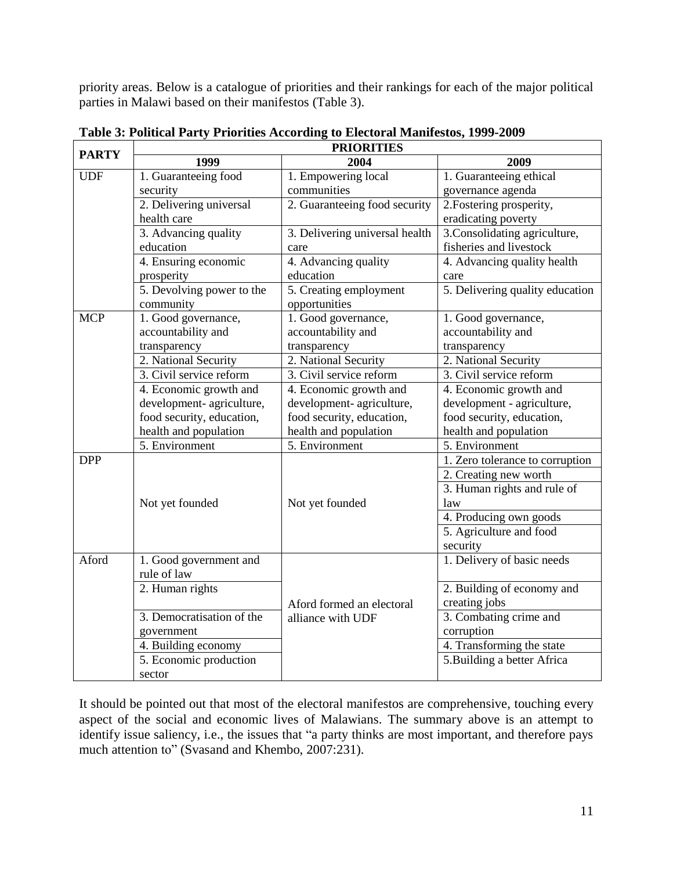priority areas. Below is a catalogue of priorities and their rankings for each of the major political parties in Malawi based on their manifestos (Table 3).

| <b>PARTY</b> | <b>PRIORITIES</b>                      |                                         |                                 |  |  |  |
|--------------|----------------------------------------|-----------------------------------------|---------------------------------|--|--|--|
|              | 1999                                   | 2004                                    | 2009                            |  |  |  |
| UDF          | 1. Guaranteeing food                   | 1. Empowering local                     | 1. Guaranteeing ethical         |  |  |  |
|              | security                               | communities                             | governance agenda               |  |  |  |
|              | 2. Delivering universal                | 2. Guaranteeing food security           | 2. Fostering prosperity,        |  |  |  |
|              | health care                            |                                         | eradicating poverty             |  |  |  |
|              | 3. Advancing quality                   | 3. Delivering universal health          | 3. Consolidating agriculture,   |  |  |  |
|              | education                              | care                                    | fisheries and livestock         |  |  |  |
|              | 4. Ensuring economic                   | 4. Advancing quality                    | 4. Advancing quality health     |  |  |  |
|              | prosperity                             | education                               | care                            |  |  |  |
|              | 5. Devolving power to the<br>community | 5. Creating employment<br>opportunities | 5. Delivering quality education |  |  |  |
| <b>MCP</b>   | 1. Good governance,                    | 1. Good governance,                     | 1. Good governance,             |  |  |  |
|              | accountability and                     | accountability and                      | accountability and              |  |  |  |
|              | transparency                           | transparency                            | transparency                    |  |  |  |
|              | 2. National Security                   | 2. National Security                    | 2. National Security            |  |  |  |
|              | 3. Civil service reform                | 3. Civil service reform                 | 3. Civil service reform         |  |  |  |
|              | 4. Economic growth and                 | 4. Economic growth and                  | 4. Economic growth and          |  |  |  |
|              | development- agriculture,              | development- agriculture,               | development - agriculture,      |  |  |  |
|              | food security, education,              | food security, education,               | food security, education,       |  |  |  |
|              | health and population                  | health and population                   | health and population           |  |  |  |
|              | 5. Environment                         | 5. Environment                          | 5. Environment                  |  |  |  |
| <b>DPP</b>   |                                        |                                         | 1. Zero tolerance to corruption |  |  |  |
|              |                                        |                                         | 2. Creating new worth           |  |  |  |
|              |                                        |                                         | 3. Human rights and rule of     |  |  |  |
|              | Not yet founded                        | Not yet founded                         | law                             |  |  |  |
|              |                                        |                                         | 4. Producing own goods          |  |  |  |
|              |                                        |                                         | 5. Agriculture and food         |  |  |  |
|              |                                        |                                         | security                        |  |  |  |
| Aford        | 1. Good government and                 |                                         | 1. Delivery of basic needs      |  |  |  |
|              | rule of law                            |                                         |                                 |  |  |  |
|              | 2. Human rights                        |                                         | 2. Building of economy and      |  |  |  |
|              |                                        | Aford formed an electoral               | creating jobs                   |  |  |  |
|              | 3. Democratisation of the              | alliance with UDF                       | 3. Combating crime and          |  |  |  |
|              | government                             |                                         | corruption                      |  |  |  |
|              | 4. Building economy                    |                                         | 4. Transforming the state       |  |  |  |
|              | 5. Economic production                 |                                         | 5. Building a better Africa     |  |  |  |
|              | sector                                 |                                         |                                 |  |  |  |

**Table 3: Political Party Priorities According to Electoral Manifestos, 1999-2009** 

It should be pointed out that most of the electoral manifestos are comprehensive, touching every aspect of the social and economic lives of Malawians. The summary above is an attempt to identify issue saliency, i.e., the issues that "a party thinks are most important, and therefore pays much attention to" (Svasand and Khembo, 2007:231).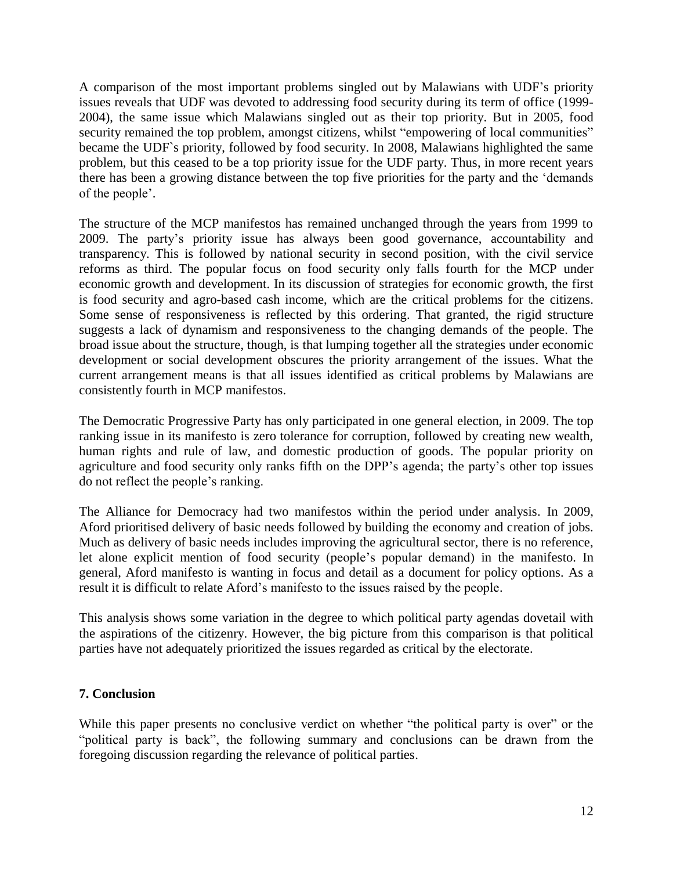A comparison of the most important problems singled out by Malawians with UDF's priority issues reveals that UDF was devoted to addressing food security during its term of office (1999- 2004), the same issue which Malawians singled out as their top priority. But in 2005, food security remained the top problem, amongst citizens, whilst "empowering of local communities" became the UDF`s priority, followed by food security. In 2008, Malawians highlighted the same problem, but this ceased to be a top priority issue for the UDF party. Thus, in more recent years there has been a growing distance between the top five priorities for the party and the 'demands of the people'.

The structure of the MCP manifestos has remained unchanged through the years from 1999 to 2009. The party's priority issue has always been good governance, accountability and transparency. This is followed by national security in second position, with the civil service reforms as third. The popular focus on food security only falls fourth for the MCP under economic growth and development. In its discussion of strategies for economic growth, the first is food security and agro-based cash income, which are the critical problems for the citizens. Some sense of responsiveness is reflected by this ordering. That granted, the rigid structure suggests a lack of dynamism and responsiveness to the changing demands of the people. The broad issue about the structure, though, is that lumping together all the strategies under economic development or social development obscures the priority arrangement of the issues. What the current arrangement means is that all issues identified as critical problems by Malawians are consistently fourth in MCP manifestos.

The Democratic Progressive Party has only participated in one general election, in 2009. The top ranking issue in its manifesto is zero tolerance for corruption, followed by creating new wealth, human rights and rule of law, and domestic production of goods. The popular priority on agriculture and food security only ranks fifth on the DPP's agenda; the party's other top issues do not reflect the people's ranking.

The Alliance for Democracy had two manifestos within the period under analysis. In 2009, Aford prioritised delivery of basic needs followed by building the economy and creation of jobs. Much as delivery of basic needs includes improving the agricultural sector, there is no reference, let alone explicit mention of food security (people's popular demand) in the manifesto. In general, Aford manifesto is wanting in focus and detail as a document for policy options. As a result it is difficult to relate Aford's manifesto to the issues raised by the people.

This analysis shows some variation in the degree to which political party agendas dovetail with the aspirations of the citizenry. However, the big picture from this comparison is that political parties have not adequately prioritized the issues regarded as critical by the electorate.

### **7. Conclusion**

While this paper presents no conclusive verdict on whether "the political party is over" or the "political party is back", the following summary and conclusions can be drawn from the foregoing discussion regarding the relevance of political parties.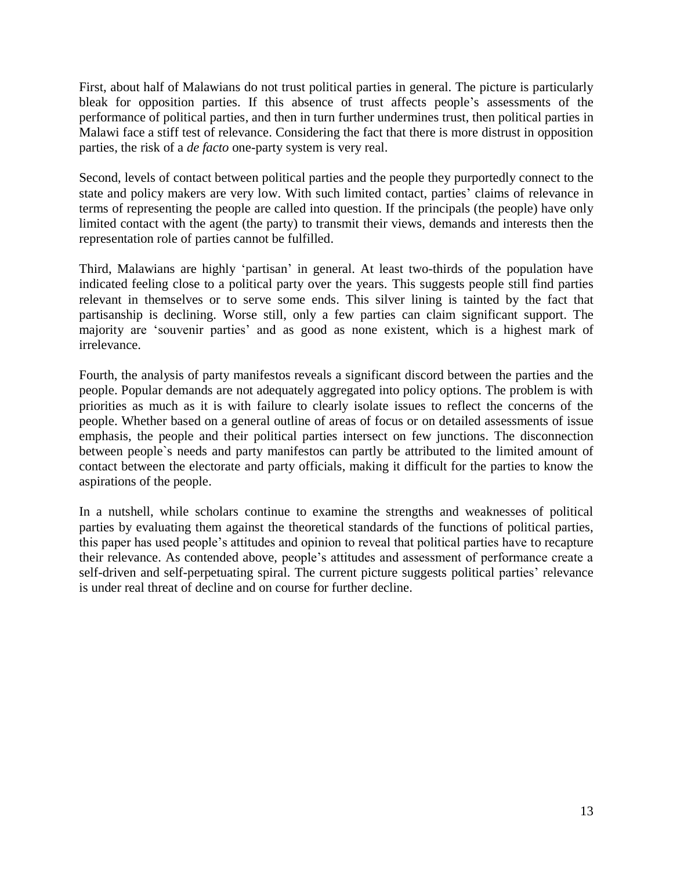First, about half of Malawians do not trust political parties in general. The picture is particularly bleak for opposition parties. If this absence of trust affects people's assessments of the performance of political parties, and then in turn further undermines trust, then political parties in Malawi face a stiff test of relevance. Considering the fact that there is more distrust in opposition parties, the risk of a *de facto* one-party system is very real.

Second, levels of contact between political parties and the people they purportedly connect to the state and policy makers are very low. With such limited contact, parties' claims of relevance in terms of representing the people are called into question. If the principals (the people) have only limited contact with the agent (the party) to transmit their views, demands and interests then the representation role of parties cannot be fulfilled.

Third, Malawians are highly 'partisan' in general. At least two-thirds of the population have indicated feeling close to a political party over the years. This suggests people still find parties relevant in themselves or to serve some ends. This silver lining is tainted by the fact that partisanship is declining. Worse still, only a few parties can claim significant support. The majority are 'souvenir parties' and as good as none existent, which is a highest mark of irrelevance.

Fourth, the analysis of party manifestos reveals a significant discord between the parties and the people. Popular demands are not adequately aggregated into policy options. The problem is with priorities as much as it is with failure to clearly isolate issues to reflect the concerns of the people. Whether based on a general outline of areas of focus or on detailed assessments of issue emphasis, the people and their political parties intersect on few junctions. The disconnection between people`s needs and party manifestos can partly be attributed to the limited amount of contact between the electorate and party officials, making it difficult for the parties to know the aspirations of the people.

In a nutshell, while scholars continue to examine the strengths and weaknesses of political parties by evaluating them against the theoretical standards of the functions of political parties, this paper has used people's attitudes and opinion to reveal that political parties have to recapture their relevance. As contended above, people's attitudes and assessment of performance create a self-driven and self-perpetuating spiral. The current picture suggests political parties' relevance is under real threat of decline and on course for further decline.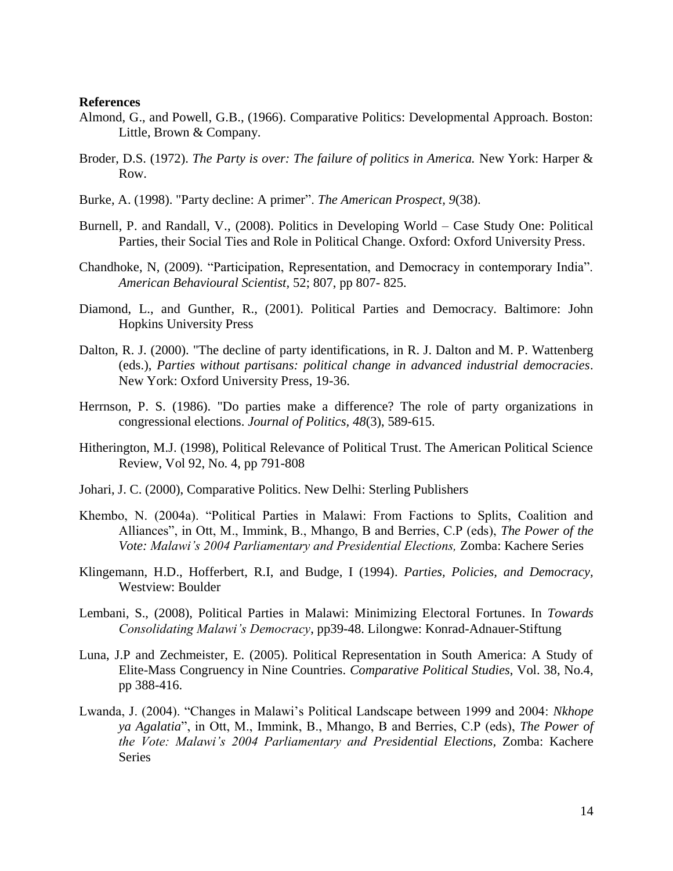#### **References**

- Almond, G., and Powell, G.B., (1966). Comparative Politics: Developmental Approach. Boston: Little, Brown & Company.
- Broder, D.S. (1972). *The Party is over: The failure of politics in America.* New York: Harper & Row.
- Burke, A. (1998). "Party decline: A primer". *The American Prospect, 9*(38).
- Burnell, P. and Randall, V., (2008). Politics in Developing World Case Study One: Political Parties, their Social Ties and Role in Political Change. Oxford: Oxford University Press.
- Chandhoke, N, (2009). "Participation, Representation, and Democracy in contemporary India". *American Behavioural Scientist,* 52; 807, pp 807- 825.
- Diamond, L., and Gunther, R., (2001). Political Parties and Democracy. Baltimore: John Hopkins University Press
- Dalton, R. J. (2000). "The decline of party identifications, in R. J. Dalton and M. P. Wattenberg (eds.), *Parties without partisans: political change in advanced industrial democracies*. New York: Oxford University Press, 19-36.
- Herrnson, P. S. (1986). "Do parties make a difference? The role of party organizations in congressional elections. *Journal of Politics, 48*(3), 589-615.
- Hitherington, M.J. (1998), Political Relevance of Political Trust. The American Political Science Review, Vol 92, No. 4, pp 791-808
- Johari, J. C. (2000), Comparative Politics. New Delhi: Sterling Publishers
- Khembo, N. (2004a). "Political Parties in Malawi: From Factions to Splits, Coalition and Alliances", in Ott, M., Immink, B., Mhango, B and Berries, C.P (eds), *The Power of the Vote: Malawi's 2004 Parliamentary and Presidential Elections,* Zomba: Kachere Series
- Klingemann, H.D., Hofferbert, R.I, and Budge, I (1994). *Parties, Policies, and Democracy,*  Westview: Boulder
- Lembani, S., (2008), Political Parties in Malawi: Minimizing Electoral Fortunes. In *Towards Consolidating Malawi's Democracy*, pp39-48. Lilongwe: Konrad-Adnauer-Stiftung
- Luna, J.P and Zechmeister, E. (2005). Political Representation in South America: A Study of Elite-Mass Congruency in Nine Countries. *Comparative Political Studies*, Vol. 38, No.4, pp 388-416.
- Lwanda, J. (2004). "Changes in Malawi's Political Landscape between 1999 and 2004: *Nkhope ya Agalatia*", in Ott, M., Immink, B., Mhango, B and Berries, C.P (eds), *The Power of the Vote: Malawi's 2004 Parliamentary and Presidential Elections,* Zomba: Kachere Series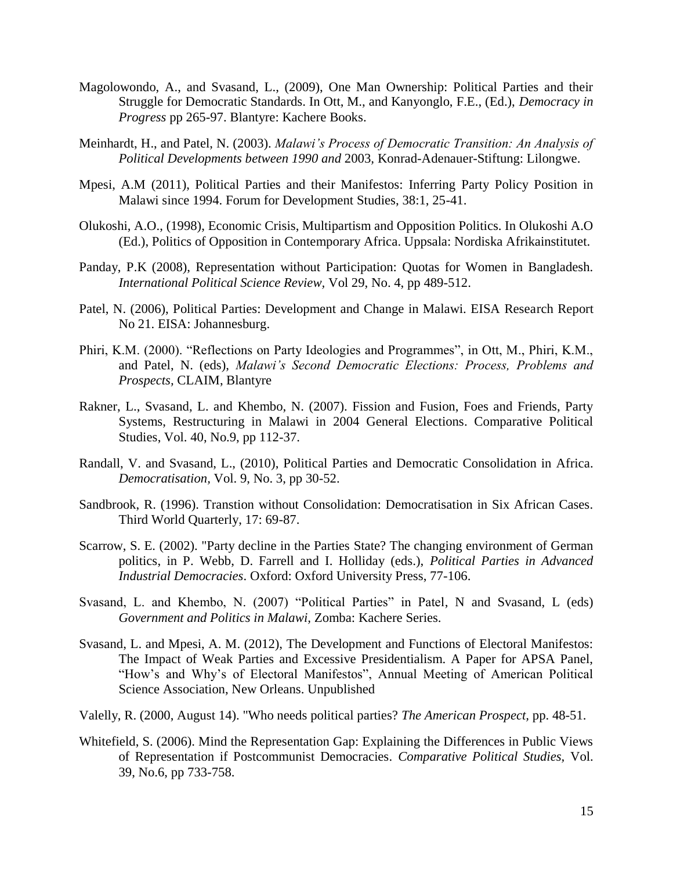- Magolowondo, A., and Svasand, L., (2009), One Man Ownership: Political Parties and their Struggle for Democratic Standards. In Ott, M., and Kanyonglo, F.E., (Ed.), *Democracy in Progress* pp 265-97. Blantyre: Kachere Books.
- Meinhardt, H., and Patel, N. (2003). *Malawi's Process of Democratic Transition: An Analysis of Political Developments between 1990 and* 2003*,* Konrad-Adenauer-Stiftung: Lilongwe.
- Mpesi, A.M (2011), Political Parties and their Manifestos: Inferring Party Policy Position in Malawi since 1994. Forum for Development Studies, 38:1, 25-41.
- Olukoshi, A.O., (1998), Economic Crisis, Multipartism and Opposition Politics. In Olukoshi A.O (Ed.), Politics of Opposition in Contemporary Africa. Uppsala: Nordiska Afrikainstitutet.
- Panday, P.K (2008), Representation without Participation: Quotas for Women in Bangladesh. *International Political Science Review,* Vol 29, No. 4, pp 489-512.
- Patel, N. (2006), Political Parties: Development and Change in Malawi. EISA Research Report No 21. EISA: Johannesburg.
- Phiri, K.M. (2000). "Reflections on Party Ideologies and Programmes", in Ott, M., Phiri, K.M., and Patel, N. (eds), *Malawi's Second Democratic Elections: Process, Problems and Prospects,* CLAIM, Blantyre
- Rakner, L., Svasand, L. and Khembo, N. (2007). Fission and Fusion, Foes and Friends, Party Systems, Restructuring in Malawi in 2004 General Elections. Comparative Political Studies, Vol. 40, No.9, pp 112-37.
- Randall, V. and Svasand, L., (2010), Political Parties and Democratic Consolidation in Africa. *Democratisation,* Vol. 9, No. 3, pp 30-52.
- Sandbrook, R. (1996). Transtion without Consolidation: Democratisation in Six African Cases. Third World Quarterly, 17: 69-87.
- Scarrow, S. E. (2002). "Party decline in the Parties State? The changing environment of German politics, in P. Webb, D. Farrell and I. Holliday (eds.), *Political Parties in Advanced Industrial Democracies*. Oxford: Oxford University Press, 77-106.
- Svasand, L. and Khembo, N. (2007) "Political Parties" in Patel, N and Svasand, L (eds) *Government and Politics in Malawi,* Zomba: Kachere Series.
- Svasand, L. and Mpesi, A. M. (2012), The Development and Functions of Electoral Manifestos: The Impact of Weak Parties and Excessive Presidentialism. A Paper for APSA Panel, "How's and Why's of Electoral Manifestos", Annual Meeting of American Political Science Association, New Orleans. Unpublished
- Valelly, R. (2000, August 14). "Who needs political parties? *The American Prospect,* pp. 48-51.
- Whitefield, S. (2006). Mind the Representation Gap: Explaining the Differences in Public Views of Representation if Postcommunist Democracies. *Comparative Political Studies,* Vol. 39, No.6, pp 733-758.